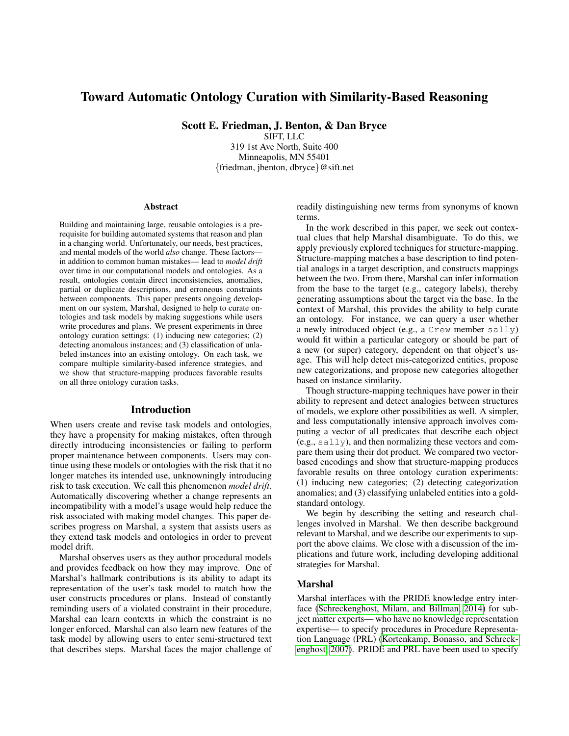# Toward Automatic Ontology Curation with Similarity-Based Reasoning

Scott E. Friedman, J. Benton, & Dan Bryce

SIFT, LLC 319 1st Ave North, Suite 400 Minneapolis, MN 55401 {friedman, jbenton, dbryce}@sift.net

#### Abstract

Building and maintaining large, reusable ontologies is a prerequisite for building automated systems that reason and plan in a changing world. Unfortunately, our needs, best practices, and mental models of the world *also* change. These factors in addition to common human mistakes— lead to *model drift* over time in our computational models and ontologies. As a result, ontologies contain direct inconsistencies, anomalies, partial or duplicate descriptions, and erroneous constraints between components. This paper presents ongoing development on our system, Marshal, designed to help to curate ontologies and task models by making suggestions while users write procedures and plans. We present experiments in three ontology curation settings: (1) inducing new categories; (2) detecting anomalous instances; and (3) classification of unlabeled instances into an existing ontology. On each task, we compare multiple similarity-based inference strategies, and we show that structure-mapping produces favorable results on all three ontology curation tasks.

#### Introduction

When users create and revise task models and ontologies, they have a propensity for making mistakes, often through directly introducing inconsistencies or failing to perform proper maintenance between components. Users may continue using these models or ontologies with the risk that it no longer matches its intended use, unknowningly introducing risk to task execution. We call this phenomenon *model drift*. Automatically discovering whether a change represents an incompatibility with a model's usage would help reduce the risk associated with making model changes. This paper describes progress on Marshal, a system that assists users as they extend task models and ontologies in order to prevent model drift.

Marshal observes users as they author procedural models and provides feedback on how they may improve. One of Marshal's hallmark contributions is its ability to adapt its representation of the user's task model to match how the user constructs procedures or plans. Instead of constantly reminding users of a violated constraint in their procedure, Marshal can learn contexts in which the constraint is no longer enforced. Marshal can also learn new features of the task model by allowing users to enter semi-structured text that describes steps. Marshal faces the major challenge of readily distinguishing new terms from synonyms of known terms.

In the work described in this paper, we seek out contextual clues that help Marshal disambiguate. To do this, we apply previously explored techniques for structure-mapping. Structure-mapping matches a base description to find potential analogs in a target description, and constructs mappings between the two. From there, Marshal can infer information from the base to the target (e.g., category labels), thereby generating assumptions about the target via the base. In the context of Marshal, this provides the ability to help curate an ontology. For instance, we can query a user whether a newly introduced object (e.g., a Crew member sally) would fit within a particular category or should be part of a new (or super) category, dependent on that object's usage. This will help detect mis-categorized entities, propose new categorizations, and propose new categories altogether based on instance similarity.

Though structure-mapping techniques have power in their ability to represent and detect analogies between structures of models, we explore other possibilities as well. A simpler, and less computationally intensive approach involves computing a vector of all predicates that describe each object (e.g., sally), and then normalizing these vectors and compare them using their dot product. We compared two vectorbased encodings and show that structure-mapping produces favorable results on three ontology curation experiments: (1) inducing new categories; (2) detecting categorization anomalies; and (3) classifying unlabeled entities into a goldstandard ontology.

We begin by describing the setting and research challenges involved in Marshal. We then describe background relevant to Marshal, and we describe our experiments to support the above claims. We close with a discussion of the implications and future work, including developing additional strategies for Marshal.

#### Marshal

Marshal interfaces with the PRIDE knowledge entry interface [\(Schreckenghost, Milam, and Billman, 2014\)](#page-5-0) for subject matter experts— who have no knowledge representation expertise— to specify procedures in Procedure Representation Language (PRL) [\(Kortenkamp, Bonasso, and Schreck](#page-5-1)[enghost, 2007\)](#page-5-1). PRIDE and PRL have been used to specify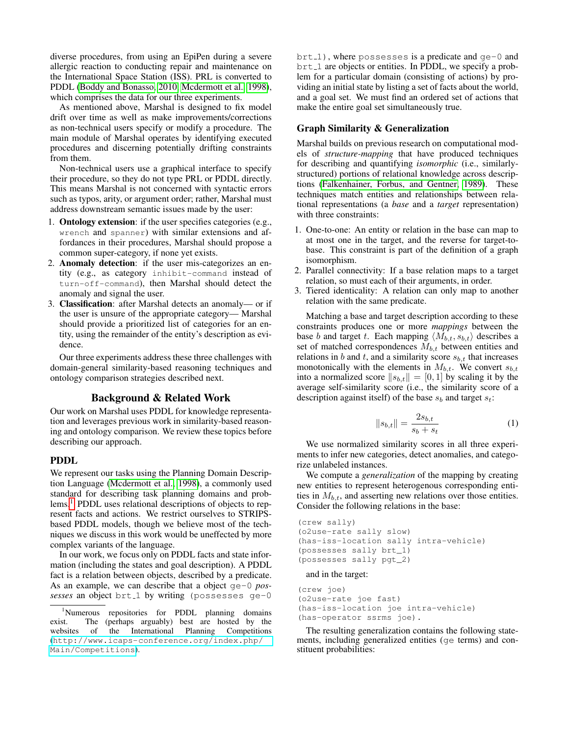diverse procedures, from using an EpiPen during a severe allergic reaction to conducting repair and maintenance on the International Space Station (ISS). PRL is converted to PDDL [\(Boddy and Bonasso, 2010,](#page-5-2) [Mcdermott et al., 1998\)](#page-5-3), which comprises the data for our three experiments.

As mentioned above, Marshal is designed to fix model drift over time as well as make improvements/corrections as non-technical users specify or modify a procedure. The main module of Marshal operates by identifying executed procedures and discerning potentially drifting constraints from them.

Non-technical users use a graphical interface to specify their procedure, so they do not type PRL or PDDL directly. This means Marshal is not concerned with syntactic errors such as typos, arity, or argument order; rather, Marshal must address downstream semantic issues made by the user:

- 1. Ontology extension: if the user specifies categories (e.g., wrench and spanner) with similar extensions and affordances in their procedures, Marshal should propose a common super-category, if none yet exists.
- 2. Anomaly detection: if the user mis-categorizes an entity (e.g., as category inhibit-command instead of turn-off-command), then Marshal should detect the anomaly and signal the user.
- 3. Classification: after Marshal detects an anomaly— or if the user is unsure of the appropriate category— Marshal should provide a prioritized list of categories for an entity, using the remainder of the entity's description as evidence.

Our three experiments address these three challenges with domain-general similarity-based reasoning techniques and ontology comparison strategies described next.

### Background & Related Work

Our work on Marshal uses PDDL for knowledge representation and leverages previous work in similarity-based reasoning and ontology comparison. We review these topics before describing our approach.

# PDDL

We represent our tasks using the Planning Domain Description Language [\(Mcdermott et al., 1998\)](#page-5-3), a commonly used standard for describing task planning domains and prob-lems.<sup>[1](#page-1-0)</sup> PDDL uses relational descriptions of objects to represent facts and actions. We restrict ourselves to STRIPSbased PDDL models, though we believe most of the techniques we discuss in this work would be uneffected by more complex variants of the language.

In our work, we focus only on PDDL facts and state information (including the states and goal description). A PDDL fact is a relation between objects, described by a predicate. As an example, we can describe that a object ge-0 *possesses* an object brt 1 by writing (possesses ge-0

brt 1), where possesses is a predicate and ge-0 and brt 1 are objects or entities. In PDDL, we specify a problem for a particular domain (consisting of actions) by providing an initial state by listing a set of facts about the world, and a goal set. We must find an ordered set of actions that make the entire goal set simultaneously true.

### Graph Similarity & Generalization

Marshal builds on previous research on computational models of *structure-mapping* that have produced techniques for describing and quantifying *isomorphic* (i.e., similarlystructured) portions of relational knowledge across descriptions [\(Falkenhainer, Forbus, and Gentner, 1989\)](#page-5-4). These techniques match entities and relationships between relational representations (a *base* and a *target* representation) with three constraints:

- 1. One-to-one: An entity or relation in the base can map to at most one in the target, and the reverse for target-tobase. This constraint is part of the definition of a graph isomorphism.
- 2. Parallel connectivity: If a base relation maps to a target relation, so must each of their arguments, in order.
- 3. Tiered identicality: A relation can only map to another relation with the same predicate.

Matching a base and target description according to these constraints produces one or more *mappings* between the base b and target t. Each mapping  $\langle M_{b,t}, s_{b,t} \rangle$  describes a set of matched correspondences  $M_{b,t}$  between entities and relations in b and t, and a similarity score  $s_{b,t}$  that increases monotonically with the elements in  $M_{b,t}$ . We convert  $s_{b,t}$ into a normalized score  $||s_{b,t}|| = [0, 1]$  by scaling it by the average self-similarity score (i.e., the similarity score of a description against itself) of the base  $s_b$  and target  $s_t$ :

$$
||s_{b,t}|| = \frac{2s_{b,t}}{s_b + s_t}
$$
 (1)

We use normalized similarity scores in all three experiments to infer new categories, detect anomalies, and categorize unlabeled instances.

We compute a *generalization* of the mapping by creating new entities to represent heterogenous corresponding entities in  $M_{b,t}$ , and asserting new relations over those entities. Consider the following relations in the base:

```
(crew sally)
(o2use-rate sally slow)
(has-iss-location sally intra-vehicle)
(possesses sally brt_1)
(possesses sally pgt_2)
```
and in the target:

```
(crew joe)
(o2use-rate joe fast)
(has-iss-location joe intra-vehicle)
(has-operator ssrms joe).
```
The resulting generalization contains the following statements, including generalized entities (ge terms) and constituent probabilities:

<span id="page-1-0"></span><sup>1</sup>Numerous repositories for PDDL planning domains exist. The (perhaps arguably) best are hosted by the websites of the International Planning Competitions websites of the International Planning ([http://www.icaps-conference.org/index.php/](http://www.icaps-conference.org/index.php/Main/Competitions) [Main/Competitions](http://www.icaps-conference.org/index.php/Main/Competitions)).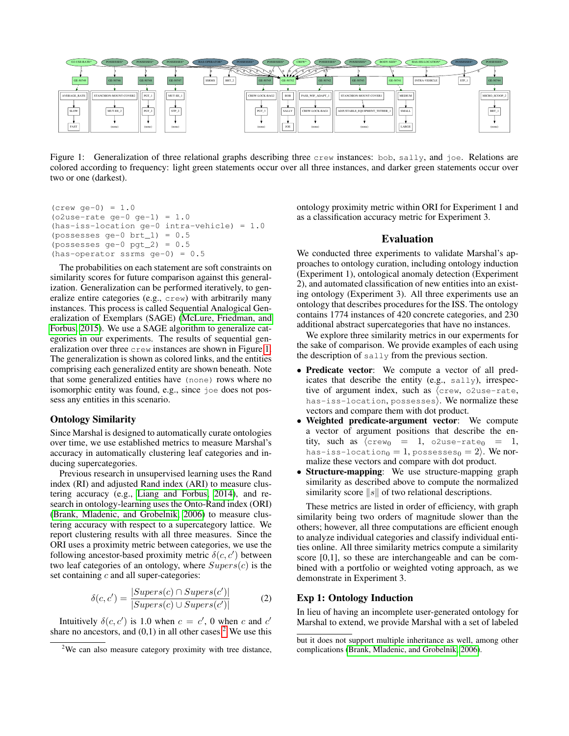

<span id="page-2-0"></span>Figure 1: Generalization of three relational graphs describing three crew instances: bob, sally, and joe. Relations are colored according to frequency: light green statements occur over all three instances, and darker green statements occur over two or one (darkest).

```
(crew qe-0) = 1.0(o2use-rate qe-0 qe-1) = 1.0(has-iss-location ge-0 intra-vehicle) = 1.0(possesses qe-0 brt_1 = 0.5(possesses ge-0 pgt_2) = 0.5
(has-operator ssrms ge-0) = 0.5
```
The probabilities on each statement are soft constraints on similarity scores for future comparison against this generalization. Generalization can be performed iteratively, to generalize entire categories (e.g., crew) with arbitrarily many instances. This process is called Sequential Analogical Generalization of Exemplars (SAGE) (McLure, Friedman, and Forbus, 2015). We use a SAGE algorithm to generalize categories in our experiments. The results of sequential generalization over three crew instances are shown in Figure 1. The generalization is shown as colored links, and the entities comprising each generalized entity are shown beneath. Note that some generalized entities have (none) rows where no isomorphic entity was found, e.g., since joe does not possess any entities in this scenario.

### **Ontology Similarity**

Since Marshal is designed to automatically curate ontologies over time, we use established metrics to measure Marshal's accuracy in automatically clustering leaf categories and inducing supercategories.

Previous research in unsupervised learning uses the Rand index (RI) and adjusted Rand index (ARI) to measure clustering accuracy (e.g., Liang and Forbus, 2014), and research in ontology-learning uses the Onto-Rand index (ORI) (Brank, Mladenic, and Grobelnik, 2006) to measure clustering accuracy with respect to a supercategory lattice. We report clustering results with all three measures. Since the ORI uses a proximity metric between categories, we use the following ancestor-based proximity metric  $\delta(c, c')$  between two leaf categories of an ontology, where  $Supers(c)$  is the set containing  $c$  and all super-categories:

$$
\delta(c, c') = \frac{|Supers(c) \cap Supers(c')|}{|Supers(c) \cup Supers(c')|} \tag{2}
$$

Intuitively  $\delta(c, c')$  is 1.0 when  $c = c'$ , 0 when c and c' share no ancestors, and  $(0,1)$  in all other cases.<sup>2</sup> We use this ontology proximity metric within ORI for Experiment 1 and as a classification accuracy metric for Experiment 3.

#### **Evaluation**

We conducted three experiments to validate Marshal's approaches to ontology curation, including ontology induction (Experiment 1), ontological anomaly detection (Experiment 2), and automated classification of new entities into an existing ontology (Experiment 3). All three experiments use an ontology that describes procedures for the ISS. The ontology contains 1774 instances of 420 concrete categories, and 230 additional abstract supercategories that have no instances.

We explore three similarity metrics in our experments for the sake of comparison. We provide examples of each using the description of sally from the previous section.

- Predicate vector: We compute a vector of all predicates that describe the entity (e.g., sally), irrespective of argument index, such as (crew, o2use-rate, has-iss-location, possesses). We normalize these vectors and compare them with dot product.
- Weighted predicate-argument vector: We compute a vector of argument positions that describe the entity, such as  $\langle$ crewo = 1, o2use-rateo = 1, has-iss-location<sub>0</sub> = 1, possesses<sub>0</sub> = 2). We normalize these vectors and compare with dot product.
- Structure-mapping: We use structure-mapping graph  $\bullet$ similarity as described above to compute the normalized similarity score  $||s||$  of two relational descriptions.

These metrics are listed in order of efficiency, with graph similarity being two orders of magnitude slower than the others; however, all three computations are efficient enough to analyze individual categories and classify individual entities online. All three similarity metrics compute a similarity score  $[0,1]$ , so these are interchangeable and can be combined with a portfolio or weighted voting approach, as we demonstrate in Experiment 3.

#### **Exp 1: Ontology Induction**

In lieu of having an incomplete user-generated ontology for Marshal to extend, we provide Marshal with a set of labeled

<span id="page-2-1"></span><sup>&</sup>lt;sup>2</sup>We can also measure category proximity with tree distance,

but it does not support multiple inheritance as well, among other complications (Brank, Mladenic, and Grobelnik, 2006).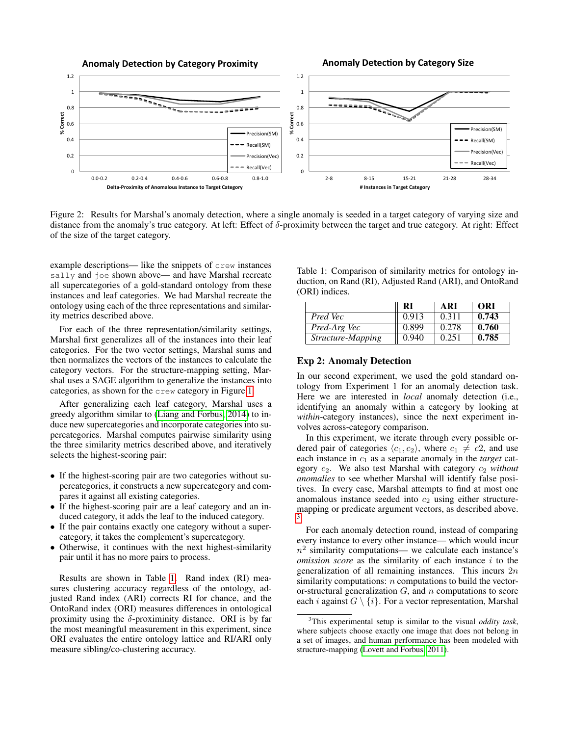

<span id="page-3-2"></span>Figure 2: Results for Marshal's anomaly detection, where a single anomaly is seeded in a target category of varying size and distance from the anomaly's true category. At left: Effect of δ-proximity between the target and true category. At right: Effect of the size of the target category.

example descriptions— like the snippets of crew instances sally and joe shown above— and have Marshal recreate all supercategories of a gold-standard ontology from these instances and leaf categories. We had Marshal recreate the ontology using each of the three representations and similarity metrics described above.

For each of the three representation/similarity settings, Marshal first generalizes all of the instances into their leaf categories. For the two vector settings, Marshal sums and then normalizes the vectors of the instances to calculate the category vectors. For the structure-mapping setting, Marshal uses a SAGE algorithm to generalize the instances into categories, as shown for the crew category in Figure [1.](#page-2-0)

After generalizing each leaf category, Marshal uses a greedy algorithm similar to [\(Liang and Forbus, 2014\)](#page-5-6) to induce new supercategories and incorporate categories into supercategories. Marshal computes pairwise similarity using the three similarity metrics described above, and iteratively selects the highest-scoring pair:

- If the highest-scoring pair are two categories without supercategories, it constructs a new supercategory and compares it against all existing categories.
- If the highest-scoring pair are a leaf category and an induced category, it adds the leaf to the induced category.
- If the pair contains exactly one category without a supercategory, it takes the complement's supercategory.
- Otherwise, it continues with the next highest-similarity pair until it has no more pairs to process.

Results are shown in Table [1.](#page-3-0) Rand index (RI) measures clustering accuracy regardless of the ontology, adjusted Rand index (ARI) corrects RI for chance, and the OntoRand index (ORI) measures differences in ontological proximity using the  $\delta$ -proximinity distance. ORI is by far the most meaningful measurement in this experiment, since ORI evaluates the entire ontology lattice and RI/ARI only measure sibling/co-clustering accuracy.

<span id="page-3-0"></span>Table 1: Comparison of similarity metrics for ontology induction, on Rand (RI), Adjusted Rand (ARI), and OntoRand (ORI) indices.

|                   | RI    | <b>ARI</b> | ORI   |
|-------------------|-------|------------|-------|
| Pred Vec          | 0.913 | 0.311      | 0.743 |
| Pred-Arg Vec      | 0.899 | 0.278      | 0.760 |
| Structure-Mapping | 0.940 | 0.251      | 0.785 |

#### Exp 2: Anomaly Detection

In our second experiment, we used the gold standard ontology from Experiment 1 for an anomaly detection task. Here we are interested in *local* anomaly detection (i.e., identifying an anomaly within a category by looking at *within*-category instances), since the next experiment involves across-category comparison.

In this experiment, we iterate through every possible ordered pair of categories  $\langle c_1, c_2 \rangle$ , where  $c_1 \neq c_2$ , and use each instance in  $c_1$  as a separate anomaly in the *target* category c2. We also test Marshal with category c<sup>2</sup> *without anomalies* to see whether Marshal will identify false positives. In every case, Marshal attempts to find at most one anomalous instance seeded into  $c_2$  using either structuremapping or predicate argument vectors, as described above. [3](#page-3-1)

For each anomaly detection round, instead of comparing every instance to every other instance— which would incur  $n^2$  similarity computations— we calculate each instance's *omission score* as the similarity of each instance i to the generalization of all remaining instances. This incurs  $2n$ similarity computations: *n* computations to build the vectoror-structural generalization  $G$ , and  $n$  computations to score each *i* against  $G \setminus \{i\}$ . For a vector representation, Marshal

<span id="page-3-1"></span><sup>3</sup>This experimental setup is similar to the visual *oddity task*, where subjects choose exactly one image that does not belong in a set of images, and human performance has been modeled with structure-mapping [\(Lovett and Forbus, 2011\)](#page-5-8).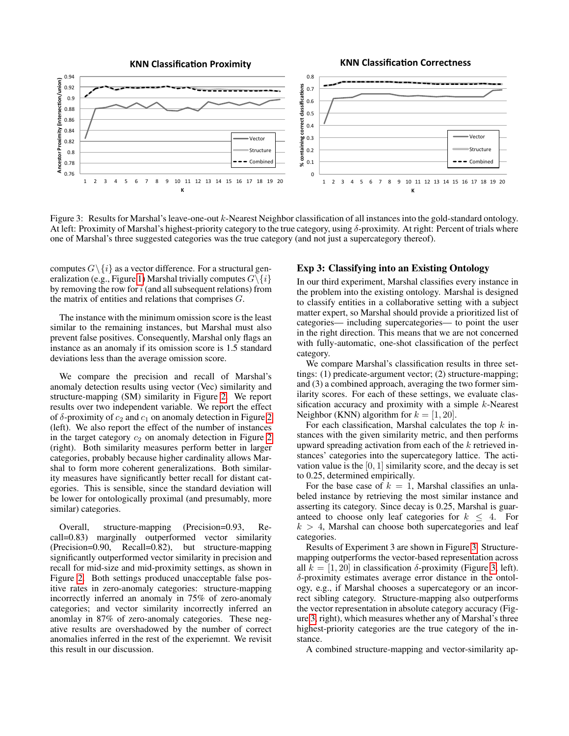

<span id="page-4-0"></span>Figure 3: Results for Marshal's leave-one-out k-Nearest Neighbor classification of all instances into the gold-standard ontology. At left: Proximity of Marshal's highest-priority category to the true category, using δ-proximity. At right: Percent of trials where one of Marshal's three suggested categories was the true category (and not just a supercategory thereof).

computes  $G \setminus \{i\}$  as a vector difference. For a structural gen-eralization (e.g., Figure [1\)](#page-2-0) Marshal trivially computes  $G\backslash\{i\}$ by removing the row for  $i$  (and all subsequent relations) from the matrix of entities and relations that comprises G.

The instance with the minimum omission score is the least similar to the remaining instances, but Marshal must also prevent false positives. Consequently, Marshal only flags an instance as an anomaly if its omission score is 1.5 standard deviations less than the average omission score.

We compare the precision and recall of Marshal's anomaly detection results using vector (Vec) similarity and structure-mapping (SM) similarity in Figure [2.](#page-3-2) We report results over two independent variable. We report the effect of  $\delta$ -proximity of  $c_2$  and  $c_1$  on anomaly detection in Figure [2](#page-3-2) (left). We also report the effect of the number of instances in the target category  $c_2$  on anomaly detection in Figure [2](#page-3-2) (right). Both similarity measures perform better in larger categories, probably because higher cardinality allows Marshal to form more coherent generalizations. Both similarity measures have significantly better recall for distant categories. This is sensible, since the standard deviation will be lower for ontologically proximal (and presumably, more similar) categories.

Overall, structure-mapping (Precision=0.93, Recall=0.83) marginally outperformed vector similarity (Precision=0.90, Recall=0.82), but structure-mapping significantly outperformed vector similarity in precision and recall for mid-size and mid-proximity settings, as shown in Figure [2.](#page-3-2) Both settings produced unacceptable false positive rates in zero-anomaly categories: structure-mapping incorrectly inferred an anomaly in 75% of zero-anomaly categories; and vector similarity incorrectly inferred an anomlay in 87% of zero-anomaly categories. These negative results are overshadowed by the number of correct anomalies inferred in the rest of the experiemnt. We revisit this result in our discussion.

# Exp 3: Classifying into an Existing Ontology

In our third experiment, Marshal classifies every instance in the problem into the existing ontology. Marshal is designed to classify entities in a collaborative setting with a subject matter expert, so Marshal should provide a prioritized list of categories— including supercategories— to point the user in the right direction. This means that we are not concerned with fully-automatic, one-shot classification of the perfect category.

We compare Marshal's classification results in three settings: (1) predicate-argument vector; (2) structure-mapping; and (3) a combined approach, averaging the two former similarity scores. For each of these settings, we evaluate classification accuracy and proximity with a simple  $k$ -Nearest Neighbor (KNN) algorithm for  $k = [1, 20]$ .

For each classification, Marshal calculates the top  $k$  instances with the given similarity metric, and then performs upward spreading activation from each of the  $k$  retrieved instances' categories into the supercategory lattice. The activation value is the  $[0, 1]$  similarity score, and the decay is set to 0.25, determined empirically.

For the base case of  $k = 1$ , Marshal classifies an unlabeled instance by retrieving the most similar instance and asserting its category. Since decay is 0.25, Marshal is guaranteed to choose only leaf categories for  $k \leq 4$ . For  $k > 4$ , Marshal can choose both supercategories and leaf categories.

Results of Experiment 3 are shown in Figure [3.](#page-4-0) Structuremapping outperforms the vector-based representation across all  $k = [1, 20]$  in classification  $\delta$ -proximity (Figure [3,](#page-4-0) left). δ-proximity estimates average error distance in the ontology, e.g., if Marshal chooses a supercategory or an incorrect sibling category. Structure-mapping also outperforms the vector representation in absolute category accuracy (Figure [3,](#page-4-0) right), which measures whether any of Marshal's three highest-priority categories are the true category of the instance.

A combined structure-mapping and vector-similarity ap-